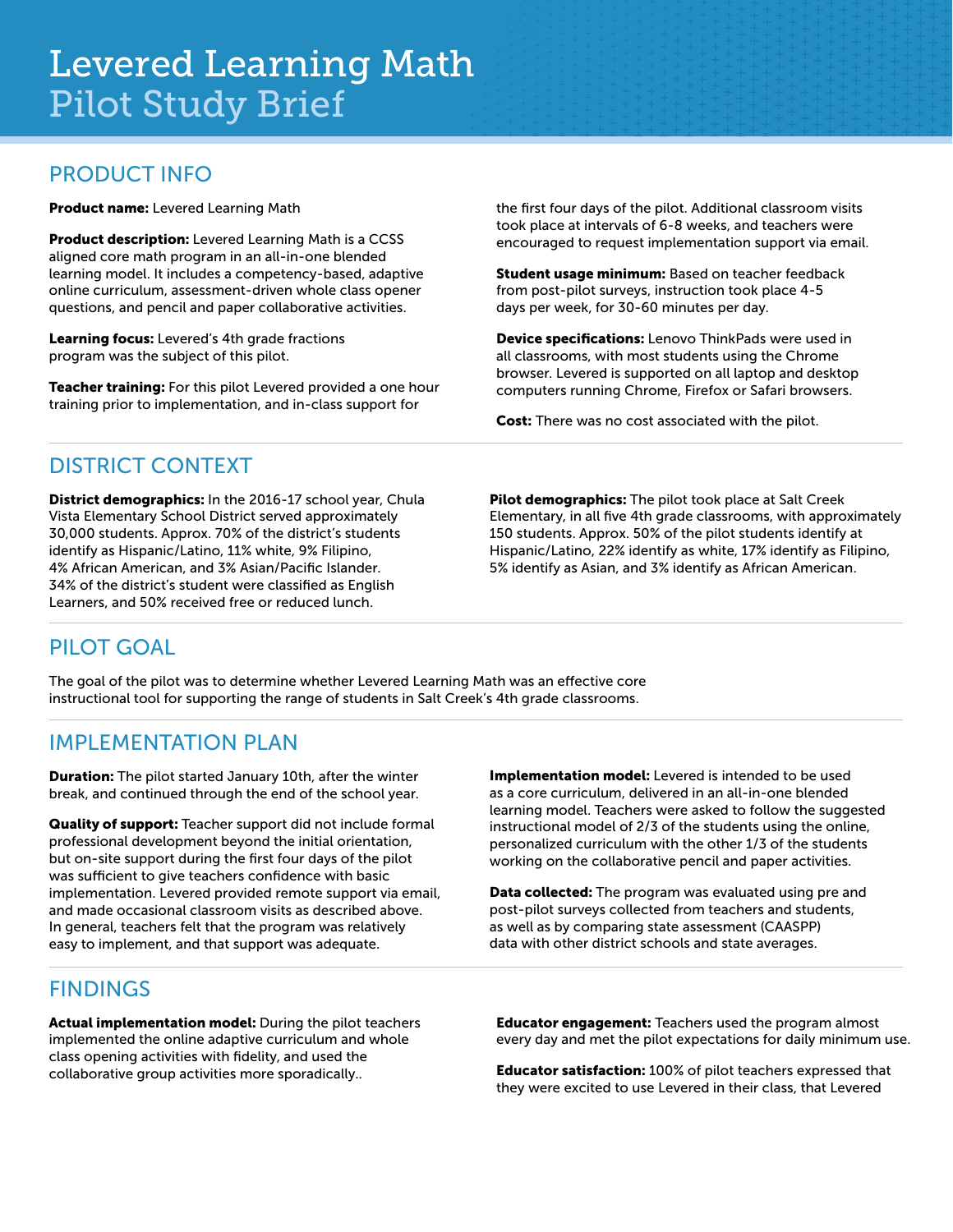#### PRODUCT INFO

Product name: Levered Learning Math

Product description: Levered Learning Math is a CCSS aligned core math program in an all-in-one blended learning model. It includes a competency-based, adaptive online curriculum, assessment-driven whole class opener questions, and pencil and paper collaborative activities.

Learning focus: Levered's 4th grade fractions program was the subject of this pilot.

Teacher training: For this pilot Levered provided a one hour training prior to implementation, and in-class support for

the first four days of the pilot. Additional classroom visits took place at intervals of 6-8 weeks, and teachers were encouraged to request implementation support via email.

Student usage minimum: Based on teacher feedback from post-pilot surveys, instruction took place 4-5 days per week, for 30-60 minutes per day.

Device specifications: Lenovo ThinkPads were used in all classrooms, with most students using the Chrome browser. Levered is supported on all laptop and desktop computers running Chrome, Firefox or Safari browsers.

Cost: There was no cost associated with the pilot.

#### DISTRICT CONTEXT

District demographics: In the 2016-17 school year, Chula Vista Elementary School District served approximately 30,000 students. Approx. 70% of the district's students identify as Hispanic/Latino, 11% white, 9% Filipino, 4% African American, and 3% Asian/Pacific Islander. 34% of the district's student were classified as English Learners, and 50% received free or reduced lunch.

Pilot demographics: The pilot took place at Salt Creek Elementary, in all five 4th grade classrooms, with approximately 150 students. Approx. 50% of the pilot students identify at Hispanic/Latino, 22% identify as white, 17% identify as Filipino, 5% identify as Asian, and 3% identify as African American.

# PILOT GOAL

The goal of the pilot was to determine whether Levered Learning Math was an effective core instructional tool for supporting the range of students in Salt Creek's 4th grade classrooms.

### IMPLEMENTATION PLAN

**Duration:** The pilot started January 10th, after the winter break, and continued through the end of the school year.

Quality of support: Teacher support did not include formal professional development beyond the initial orientation, but on-site support during the first four days of the pilot was sufficient to give teachers confidence with basic implementation. Levered provided remote support via email, and made occasional classroom visits as described above. In general, teachers felt that the program was relatively easy to implement, and that support was adequate.

Implementation model: Levered is intended to be used as a core curriculum, delivered in an all-in-one blended learning model. Teachers were asked to follow the suggested instructional model of 2/3 of the students using the online, personalized curriculum with the other 1/3 of the students working on the collaborative pencil and paper activities.

Data collected: The program was evaluated using pre and post-pilot surveys collected from teachers and students, as well as by comparing state assessment (CAASPP) data with other district schools and state averages.

### FINDINGS

Actual implementation model: During the pilot teachers implemented the online adaptive curriculum and whole class opening activities with fidelity, and used the collaborative group activities more sporadically..

**Educator engagement:** Teachers used the program almost every day and met the pilot expectations for daily minimum use.

Educator satisfaction: 100% of pilot teachers expressed that they were excited to use Levered in their class, that Levered